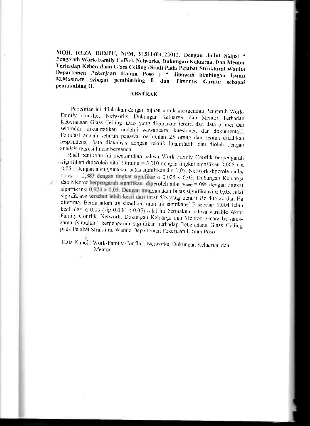MOH. REZA DIDIPU, NPM, 91511404122012, Dengan Judul Skipsi " Pengaruh Work-Family Coflict, Networks, Dukungan Keluarga, Dan Mentor Terhadap Keberadaan Glass Ceiling (Studi Pada Pejabat Struktural Wanita Departemen Pekerjaan Umum Poso ) " dibawah bimbingan Iswan M.Masirete sebagai pembimbing I, dan Timotius Garatu sebagai pembimbing II.

## **ABSTRAK**

Penelitian ini dilakukan dengan tujuan untuk mengetahui Pengaruh Work-Family Conflict, Networks, Dukungan Keluarga, dan Mentor Terhadap Keberadaan Glass Ceiling. Data yang digunakan terdiri dari data primer dan sekunder, dikumpulkan melalui wawancara, kuesioner, dan dokumentasi Populasi adalah seluruh pegawai berjumlah 25 orang dan semua dijadikan respondens. Data dianalisis dengan teknik kuantitatif, dan diolah dengan analisis regresi linear berganda.

Hasil penthtian ini menunjukan bahwa Work Family Conflik berpengaruh signifikan diperoleh nilai t hitung = 3,010 dengan tingkat signifikan 0,006 <  $\alpha$ 0.05 Dengan menggunakan batas signifikansi  $\alpha$  0.05. Network diperoleh nilai thama = 2,383 dengan tingkat signifikansi 0.025 < 0,05, Dukungan Keluarga dan Mentor berpengaruh signifikan diperoleh nilai tanag = 096 dengan tingkat signifikansi 0,924 > 0,05. Dengan mnggunakan batas signifikansi  $\alpha$  0,05, nilai signifikansi tersebut lebih kecil dari taraf 5% yang berarti Ho ditolak dan Ha diterima. Berdasarkan uji simultan, nilai uji signikansi F sebesar 0,004 lebih kecil dari  $\alpha$  0,05 (sig 0 004 < 0.05) nilai ini bermakna bahwa variable Work Family Conflik, Network, Dukungan Keluarga dan Mentor, secara bersamasama (simultan) berpengaruh signifikan terhadap keberadaan Glass Ceiling pada Pejabat Struktural Wanna Departemen Pekerjaan Umum Poso

Kata Kunci Work-Family Conflict, Networks, Dukungan Keluarga, dan Mentor

G